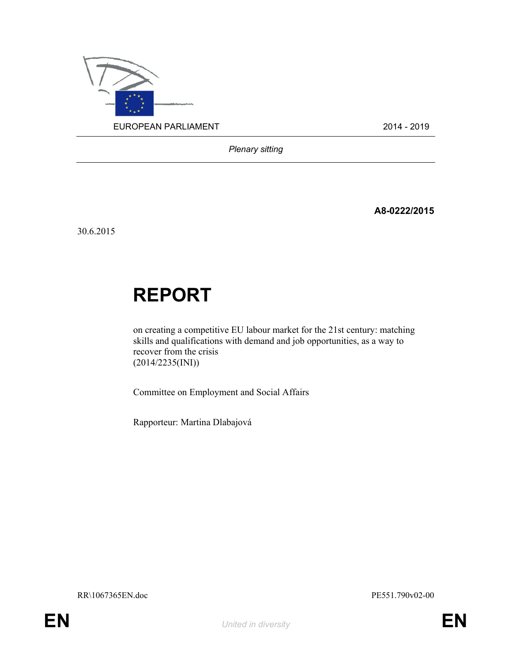

Plenary sitting

A8-0222/2015

30.6.2015

# REPORT

on creating a competitive EU labour market for the 21st century: matching skills and qualifications with demand and job opportunities, as a way to recover from the crisis (2014/2235(INI))

Committee on Employment and Social Affairs

Rapporteur: Martina Dlabajová

RR\1067365EN.doc PE551.790v02-00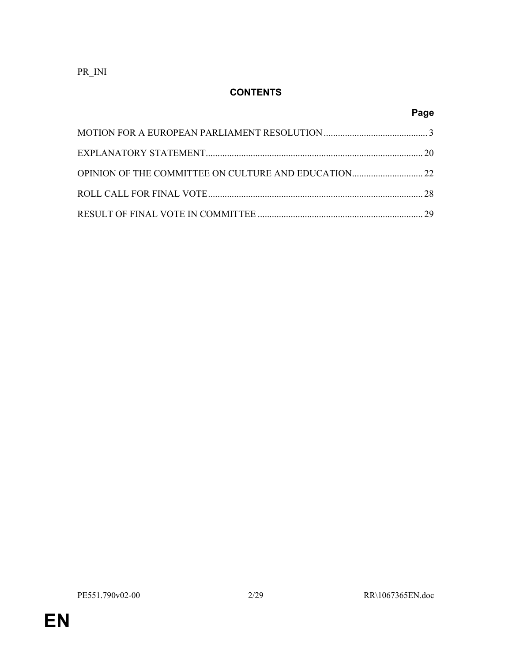PR\_INI

# **CONTENTS**

# Page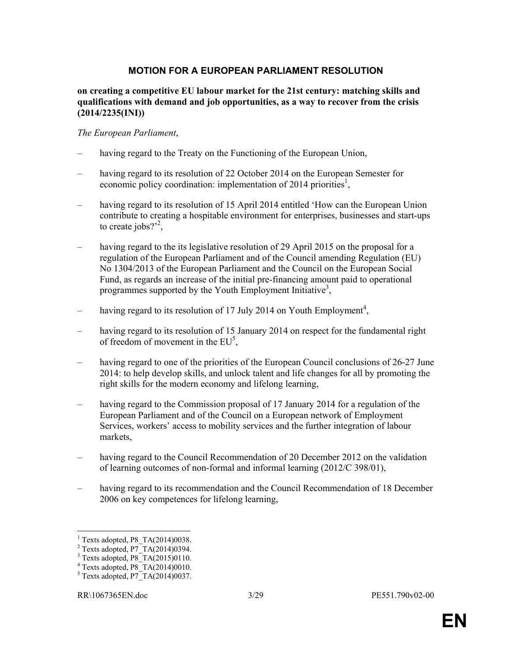#### MOTION FOR A EUROPEAN PARLIAMENT RESOLUTION

#### on creating a competitive EU labour market for the 21st century: matching skills and qualifications with demand and job opportunities, as a way to recover from the crisis (2014/2235(INI))

#### The European Parliament,

- having regard to the Treaty on the Functioning of the European Union,
- having regard to its resolution of 22 October 2014 on the European Semester for economic policy coordination: implementation of 2014 priorities<sup>1</sup>,
- having regard to its resolution of 15 April 2014 entitled 'How can the European Union contribute to creating a hospitable environment for enterprises, businesses and start-ups to create jobs? $2^2$ ,
- having regard to the its legislative resolution of 29 April 2015 on the proposal for a regulation of the European Parliament and of the Council amending Regulation (EU) No 1304/2013 of the European Parliament and the Council on the European Social Fund, as regards an increase of the initial pre-financing amount paid to operational programmes supported by the Youth Employment Initiative<sup>3</sup>,
- having regard to its resolution of 17 July 2014 on Youth Employment<sup>4</sup>,
- having regard to its resolution of 15 January 2014 on respect for the fundamental right of freedom of movement in the  $EU^5$ ,
- having regard to one of the priorities of the European Council conclusions of 26-27 June 2014: to help develop skills, and unlock talent and life changes for all by promoting the right skills for the modern economy and lifelong learning,
- having regard to the Commission proposal of 17 January 2014 for a regulation of the European Parliament and of the Council on a European network of Employment Services, workers' access to mobility services and the further integration of labour markets,
- having regard to the Council Recommendation of 20 December 2012 on the validation of learning outcomes of non-formal and informal learning (2012/C 398/01),
- having regard to its recommendation and the Council Recommendation of 18 December 2006 on key competences for lifelong learning,

 1 Texts adopted, P8\_TA(2014)0038.

 $2$  Texts adopted, P7 $T$ A $(2014)$ 0394.

<sup>&</sup>lt;sup>3</sup> Texts adopted, P8\_TA(2015)0110.

<sup>4</sup> Texts adopted, P8\_TA(2014)0010.

 $5$  Texts adopted, P7 $T$ A(2014)0037.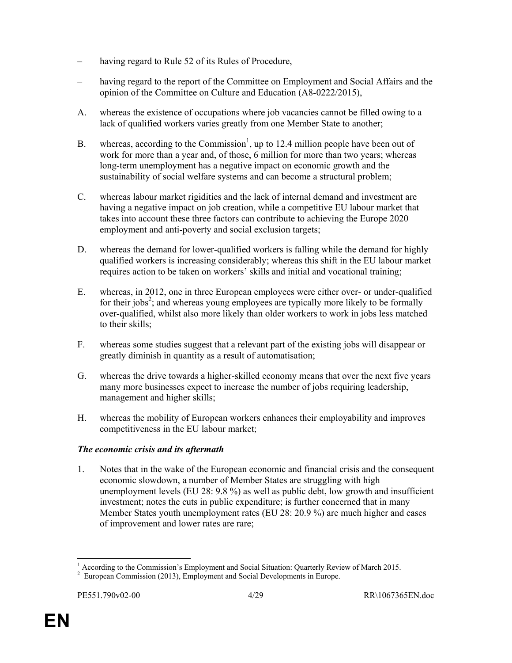- having regard to Rule 52 of its Rules of Procedure,
- having regard to the report of the Committee on Employment and Social Affairs and the opinion of the Committee on Culture and Education (A8-0222/2015),
- A. whereas the existence of occupations where job vacancies cannot be filled owing to a lack of qualified workers varies greatly from one Member State to another;
- B. whereas, according to the Commission<sup>1</sup>, up to 12.4 million people have been out of work for more than a year and, of those, 6 million for more than two years; whereas long-term unemployment has a negative impact on economic growth and the sustainability of social welfare systems and can become a structural problem;
- C. whereas labour market rigidities and the lack of internal demand and investment are having a negative impact on job creation, while a competitive EU labour market that takes into account these three factors can contribute to achieving the Europe 2020 employment and anti-poverty and social exclusion targets;
- D. whereas the demand for lower-qualified workers is falling while the demand for highly qualified workers is increasing considerably; whereas this shift in the EU labour market requires action to be taken on workers' skills and initial and vocational training;
- E. whereas, in 2012, one in three European employees were either over- or under-qualified for their jobs<sup>2</sup>; and whereas young employees are typically more likely to be formally over-qualified, whilst also more likely than older workers to work in jobs less matched to their skills;
- F. whereas some studies suggest that a relevant part of the existing jobs will disappear or greatly diminish in quantity as a result of automatisation;
- G. whereas the drive towards a higher-skilled economy means that over the next five years many more businesses expect to increase the number of jobs requiring leadership, management and higher skills;
- H. whereas the mobility of European workers enhances their employability and improves competitiveness in the EU labour market;

## The economic crisis and its aftermath

1. Notes that in the wake of the European economic and financial crisis and the consequent economic slowdown, a number of Member States are struggling with high unemployment levels (EU 28: 9.8 %) as well as public debt, low growth and insufficient investment; notes the cuts in public expenditure; is further concerned that in many Member States youth unemployment rates (EU 28: 20.9 %) are much higher and cases of improvement and lower rates are rare;

 $\ddot{\phantom{a}}$ <sup>1</sup> According to the Commission's Employment and Social Situation: Quarterly Review of March 2015.

<sup>&</sup>lt;sup>2</sup> European Commission (2013), Employment and Social Developments in Europe.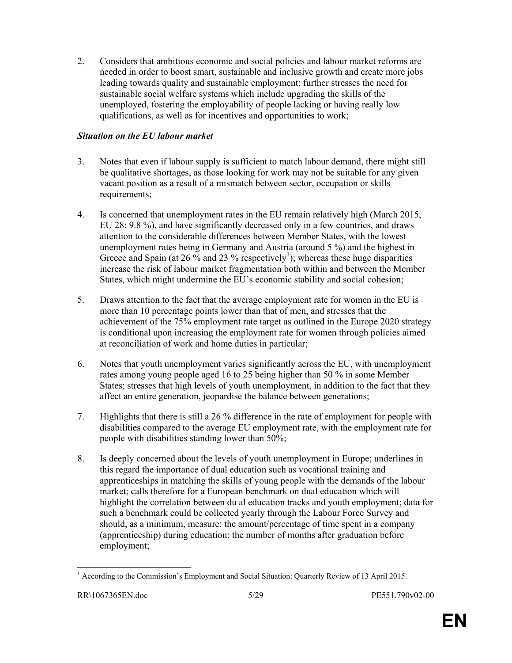2. Considers that ambitious economic and social policies and labour market reforms are needed in order to boost smart, sustainable and inclusive growth and create more jobs leading towards quality and sustainable employment; further stresses the need for sustainable social welfare systems which include upgrading the skills of the unemployed, fostering the employability of people lacking or having really low qualifications, as well as for incentives and opportunities to work;

#### Situation on the EU labour market

- 3. Notes that even if labour supply is sufficient to match labour demand, there might still be qualitative shortages, as those looking for work may not be suitable for any given vacant position as a result of a mismatch between sector, occupation or skills requirements;
- 4. Is concerned that unemployment rates in the EU remain relatively high (March 2015, EU 28: 9.8 %), and have significantly decreased only in a few countries, and draws attention to the considerable differences between Member States, with the lowest unemployment rates being in Germany and Austria (around 5 %) and the highest in Greece and Spain (at 26  $\%$  and 23  $\%$  respectively<sup>1</sup>); whereas these huge disparities increase the risk of labour market fragmentation both within and between the Member States, which might undermine the EU's economic stability and social cohesion;
- 5. Draws attention to the fact that the average employment rate for women in the EU is more than 10 percentage points lower than that of men, and stresses that the achievement of the 75% employment rate target as outlined in the Europe 2020 strategy is conditional upon increasing the employment rate for women through policies aimed at reconciliation of work and home duties in particular;
- 6. Notes that youth unemployment varies significantly across the EU, with unemployment rates among young people aged 16 to 25 being higher than 50 % in some Member States; stresses that high levels of youth unemployment, in addition to the fact that they affect an entire generation, jeopardise the balance between generations;
- 7. Highlights that there is still a 26 % difference in the rate of employment for people with disabilities compared to the average EU employment rate, with the employment rate for people with disabilities standing lower than 50%;
- 8. Is deeply concerned about the levels of youth unemployment in Europe; underlines in this regard the importance of dual education such as vocational training and apprenticeships in matching the skills of young people with the demands of the labour market; calls therefore for a European benchmark on dual education which will highlight the correlation between du al education tracks and youth employment; data for such a benchmark could be collected yearly through the Labour Force Survey and should, as a minimum, measure: the amount/percentage of time spent in a company (apprenticeship) during education; the number of months after graduation before employment;

<sup>&</sup>lt;sup>1</sup> According to the Commission's Employment and Social Situation: Quarterly Review of 13 April 2015.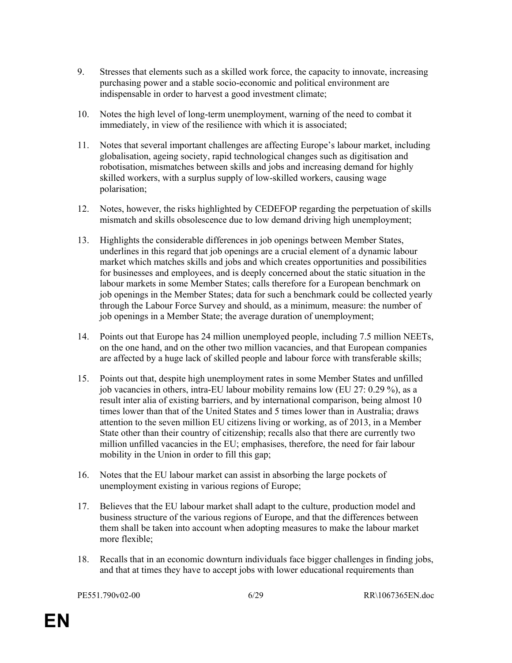- 9. Stresses that elements such as a skilled work force, the capacity to innovate, increasing purchasing power and a stable socio-economic and political environment are indispensable in order to harvest a good investment climate;
- 10. Notes the high level of long-term unemployment, warning of the need to combat it immediately, in view of the resilience with which it is associated;
- 11. Notes that several important challenges are affecting Europe's labour market, including globalisation, ageing society, rapid technological changes such as digitisation and robotisation, mismatches between skills and jobs and increasing demand for highly skilled workers, with a surplus supply of low-skilled workers, causing wage polarisation;
- 12. Notes, however, the risks highlighted by CEDEFOP regarding the perpetuation of skills mismatch and skills obsolescence due to low demand driving high unemployment;
- 13. Highlights the considerable differences in job openings between Member States, underlines in this regard that job openings are a crucial element of a dynamic labour market which matches skills and jobs and which creates opportunities and possibilities for businesses and employees, and is deeply concerned about the static situation in the labour markets in some Member States; calls therefore for a European benchmark on job openings in the Member States; data for such a benchmark could be collected yearly through the Labour Force Survey and should, as a minimum, measure: the number of job openings in a Member State; the average duration of unemployment;
- 14. Points out that Europe has 24 million unemployed people, including 7.5 million NEETs, on the one hand, and on the other two million vacancies, and that European companies are affected by a huge lack of skilled people and labour force with transferable skills;
- 15. Points out that, despite high unemployment rates in some Member States and unfilled job vacancies in others, intra-EU labour mobility remains low (EU 27: 0.29 %), as a result inter alia of existing barriers, and by international comparison, being almost 10 times lower than that of the United States and 5 times lower than in Australia; draws attention to the seven million EU citizens living or working, as of 2013, in a Member State other than their country of citizenship; recalls also that there are currently two million unfilled vacancies in the EU; emphasises, therefore, the need for fair labour mobility in the Union in order to fill this gap;
- 16. Notes that the EU labour market can assist in absorbing the large pockets of unemployment existing in various regions of Europe;
- 17. Believes that the EU labour market shall adapt to the culture, production model and business structure of the various regions of Europe, and that the differences between them shall be taken into account when adopting measures to make the labour market more flexible;
- 18. Recalls that in an economic downturn individuals face bigger challenges in finding jobs, and that at times they have to accept jobs with lower educational requirements than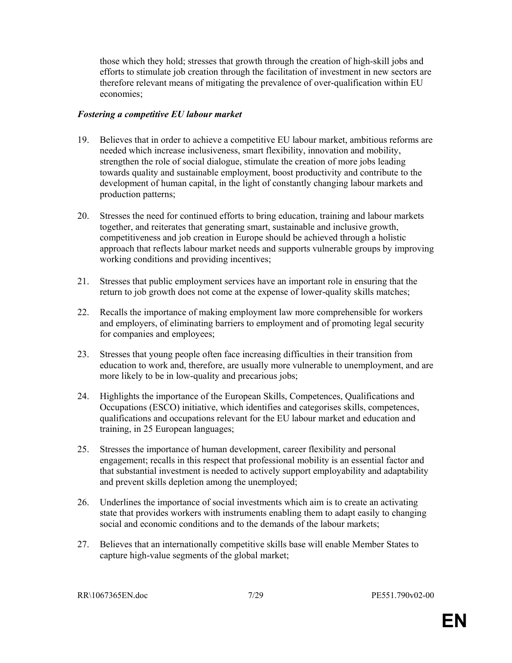those which they hold; stresses that growth through the creation of high-skill jobs and efforts to stimulate job creation through the facilitation of investment in new sectors are therefore relevant means of mitigating the prevalence of over-qualification within EU economies;

#### Fostering a competitive EU labour market

- 19. Believes that in order to achieve a competitive EU labour market, ambitious reforms are needed which increase inclusiveness, smart flexibility, innovation and mobility, strengthen the role of social dialogue, stimulate the creation of more jobs leading towards quality and sustainable employment, boost productivity and contribute to the development of human capital, in the light of constantly changing labour markets and production patterns;
- 20. Stresses the need for continued efforts to bring education, training and labour markets together, and reiterates that generating smart, sustainable and inclusive growth, competitiveness and job creation in Europe should be achieved through a holistic approach that reflects labour market needs and supports vulnerable groups by improving working conditions and providing incentives;
- 21. Stresses that public employment services have an important role in ensuring that the return to job growth does not come at the expense of lower-quality skills matches;
- 22. Recalls the importance of making employment law more comprehensible for workers and employers, of eliminating barriers to employment and of promoting legal security for companies and employees;
- 23. Stresses that young people often face increasing difficulties in their transition from education to work and, therefore, are usually more vulnerable to unemployment, and are more likely to be in low-quality and precarious jobs;
- 24. Highlights the importance of the European Skills, Competences, Qualifications and Occupations (ESCO) initiative, which identifies and categorises skills, competences, qualifications and occupations relevant for the EU labour market and education and training, in 25 European languages;
- 25. Stresses the importance of human development, career flexibility and personal engagement; recalls in this respect that professional mobility is an essential factor and that substantial investment is needed to actively support employability and adaptability and prevent skills depletion among the unemployed;
- 26. Underlines the importance of social investments which aim is to create an activating state that provides workers with instruments enabling them to adapt easily to changing social and economic conditions and to the demands of the labour markets;
- 27. Believes that an internationally competitive skills base will enable Member States to capture high-value segments of the global market;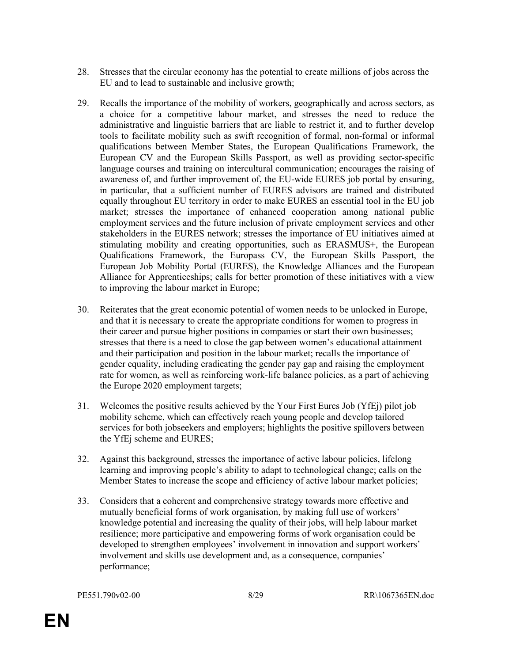- 28. Stresses that the circular economy has the potential to create millions of jobs across the EU and to lead to sustainable and inclusive growth;
- 29. Recalls the importance of the mobility of workers, geographically and across sectors, as a choice for a competitive labour market, and stresses the need to reduce the administrative and linguistic barriers that are liable to restrict it, and to further develop tools to facilitate mobility such as swift recognition of formal, non-formal or informal qualifications between Member States, the European Qualifications Framework, the European CV and the European Skills Passport, as well as providing sector-specific language courses and training on intercultural communication; encourages the raising of awareness of, and further improvement of, the EU-wide EURES job portal by ensuring, in particular, that a sufficient number of EURES advisors are trained and distributed equally throughout EU territory in order to make EURES an essential tool in the EU job market; stresses the importance of enhanced cooperation among national public employment services and the future inclusion of private employment services and other stakeholders in the EURES network; stresses the importance of EU initiatives aimed at stimulating mobility and creating opportunities, such as ERASMUS+, the European Qualifications Framework, the Europass CV, the European Skills Passport, the European Job Mobility Portal (EURES), the Knowledge Alliances and the European Alliance for Apprenticeships; calls for better promotion of these initiatives with a view to improving the labour market in Europe;
- 30. Reiterates that the great economic potential of women needs to be unlocked in Europe, and that it is necessary to create the appropriate conditions for women to progress in their career and pursue higher positions in companies or start their own businesses; stresses that there is a need to close the gap between women's educational attainment and their participation and position in the labour market; recalls the importance of gender equality, including eradicating the gender pay gap and raising the employment rate for women, as well as reinforcing work-life balance policies, as a part of achieving the Europe 2020 employment targets;
- 31. Welcomes the positive results achieved by the Your First Eures Job (YfEj) pilot job mobility scheme, which can effectively reach young people and develop tailored services for both jobseekers and employers; highlights the positive spillovers between the YfEj scheme and EURES;
- 32. Against this background, stresses the importance of active labour policies, lifelong learning and improving people's ability to adapt to technological change; calls on the Member States to increase the scope and efficiency of active labour market policies;
- 33. Considers that a coherent and comprehensive strategy towards more effective and mutually beneficial forms of work organisation, by making full use of workers' knowledge potential and increasing the quality of their jobs, will help labour market resilience; more participative and empowering forms of work organisation could be developed to strengthen employees' involvement in innovation and support workers' involvement and skills use development and, as a consequence, companies' performance;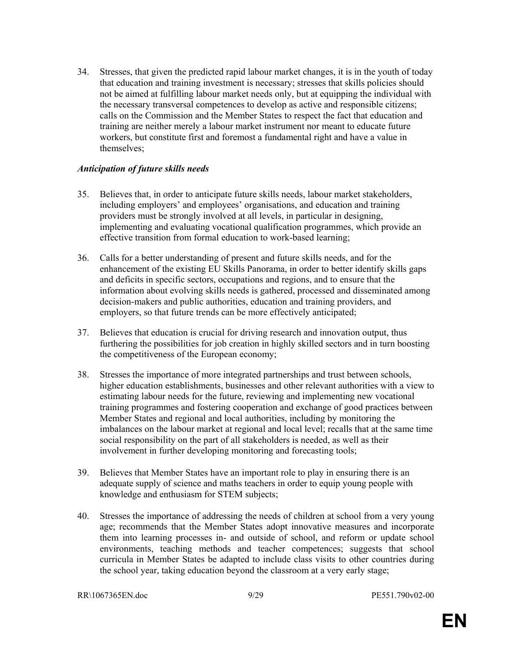34. Stresses, that given the predicted rapid labour market changes, it is in the youth of today that education and training investment is necessary; stresses that skills policies should not be aimed at fulfilling labour market needs only, but at equipping the individual with the necessary transversal competences to develop as active and responsible citizens; calls on the Commission and the Member States to respect the fact that education and training are neither merely a labour market instrument nor meant to educate future workers, but constitute first and foremost a fundamental right and have a value in themselves;

#### Anticipation of future skills needs

- 35. Believes that, in order to anticipate future skills needs, labour market stakeholders, including employers' and employees' organisations, and education and training providers must be strongly involved at all levels, in particular in designing, implementing and evaluating vocational qualification programmes, which provide an effective transition from formal education to work-based learning;
- 36. Calls for a better understanding of present and future skills needs, and for the enhancement of the existing EU Skills Panorama, in order to better identify skills gaps and deficits in specific sectors, occupations and regions, and to ensure that the information about evolving skills needs is gathered, processed and disseminated among decision-makers and public authorities, education and training providers, and employers, so that future trends can be more effectively anticipated;
- 37. Believes that education is crucial for driving research and innovation output, thus furthering the possibilities for job creation in highly skilled sectors and in turn boosting the competitiveness of the European economy;
- 38. Stresses the importance of more integrated partnerships and trust between schools, higher education establishments, businesses and other relevant authorities with a view to estimating labour needs for the future, reviewing and implementing new vocational training programmes and fostering cooperation and exchange of good practices between Member States and regional and local authorities, including by monitoring the imbalances on the labour market at regional and local level; recalls that at the same time social responsibility on the part of all stakeholders is needed, as well as their involvement in further developing monitoring and forecasting tools;
- 39. Believes that Member States have an important role to play in ensuring there is an adequate supply of science and maths teachers in order to equip young people with knowledge and enthusiasm for STEM subjects;
- 40. Stresses the importance of addressing the needs of children at school from a very young age; recommends that the Member States adopt innovative measures and incorporate them into learning processes in- and outside of school, and reform or update school environments, teaching methods and teacher competences; suggests that school curricula in Member States be adapted to include class visits to other countries during the school year, taking education beyond the classroom at a very early stage;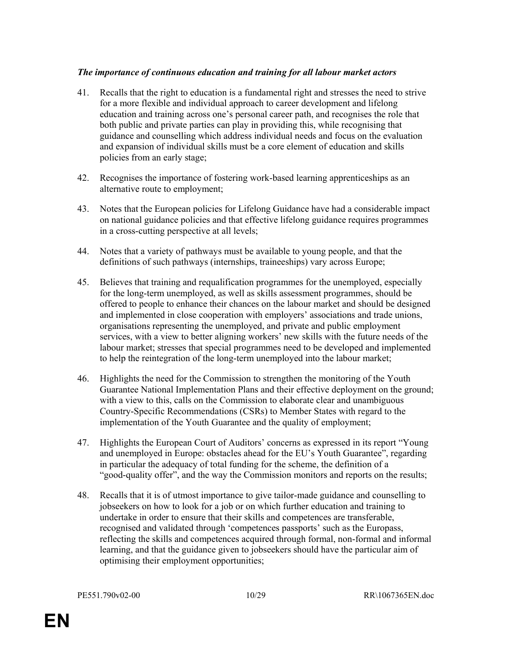#### The importance of continuous education and training for all labour market actors

- 41. Recalls that the right to education is a fundamental right and stresses the need to strive for a more flexible and individual approach to career development and lifelong education and training across one's personal career path, and recognises the role that both public and private parties can play in providing this, while recognising that guidance and counselling which address individual needs and focus on the evaluation and expansion of individual skills must be a core element of education and skills policies from an early stage;
- 42. Recognises the importance of fostering work-based learning apprenticeships as an alternative route to employment;
- 43. Notes that the European policies for Lifelong Guidance have had a considerable impact on national guidance policies and that effective lifelong guidance requires programmes in a cross-cutting perspective at all levels;
- 44. Notes that a variety of pathways must be available to young people, and that the definitions of such pathways (internships, traineeships) vary across Europe;
- 45. Believes that training and requalification programmes for the unemployed, especially for the long-term unemployed, as well as skills assessment programmes, should be offered to people to enhance their chances on the labour market and should be designed and implemented in close cooperation with employers' associations and trade unions, organisations representing the unemployed, and private and public employment services, with a view to better aligning workers' new skills with the future needs of the labour market; stresses that special programmes need to be developed and implemented to help the reintegration of the long-term unemployed into the labour market;
- 46. Highlights the need for the Commission to strengthen the monitoring of the Youth Guarantee National Implementation Plans and their effective deployment on the ground; with a view to this, calls on the Commission to elaborate clear and unambiguous Country-Specific Recommendations (CSRs) to Member States with regard to the implementation of the Youth Guarantee and the quality of employment;
- 47. Highlights the European Court of Auditors' concerns as expressed in its report "Young and unemployed in Europe: obstacles ahead for the EU's Youth Guarantee", regarding in particular the adequacy of total funding for the scheme, the definition of a "good-quality offer", and the way the Commission monitors and reports on the results;
- 48. Recalls that it is of utmost importance to give tailor-made guidance and counselling to jobseekers on how to look for a job or on which further education and training to undertake in order to ensure that their skills and competences are transferable, recognised and validated through 'competences passports' such as the Europass, reflecting the skills and competences acquired through formal, non-formal and informal learning, and that the guidance given to jobseekers should have the particular aim of optimising their employment opportunities;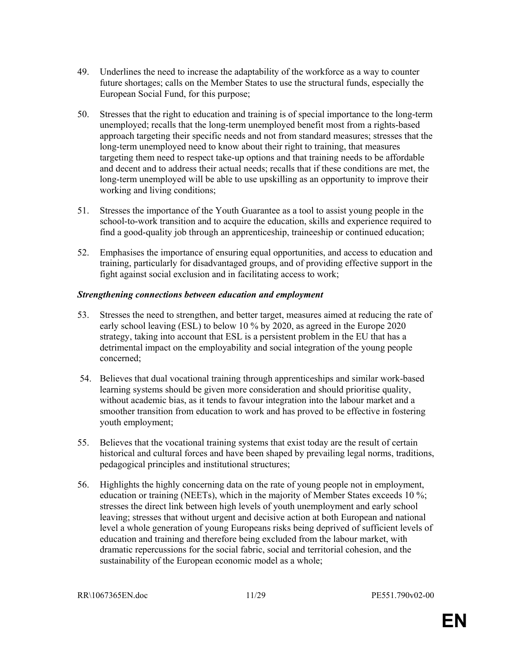- 49. Underlines the need to increase the adaptability of the workforce as a way to counter future shortages; calls on the Member States to use the structural funds, especially the European Social Fund, for this purpose;
- 50. Stresses that the right to education and training is of special importance to the long-term unemployed; recalls that the long-term unemployed benefit most from a rights-based approach targeting their specific needs and not from standard measures; stresses that the long-term unemployed need to know about their right to training, that measures targeting them need to respect take-up options and that training needs to be affordable and decent and to address their actual needs; recalls that if these conditions are met, the long-term unemployed will be able to use upskilling as an opportunity to improve their working and living conditions;
- 51. Stresses the importance of the Youth Guarantee as a tool to assist young people in the school-to-work transition and to acquire the education, skills and experience required to find a good-quality job through an apprenticeship, traineeship or continued education;
- 52. Emphasises the importance of ensuring equal opportunities, and access to education and training, particularly for disadvantaged groups, and of providing effective support in the fight against social exclusion and in facilitating access to work;

#### Strengthening connections between education and employment

- 53. Stresses the need to strengthen, and better target, measures aimed at reducing the rate of early school leaving (ESL) to below 10 % by 2020, as agreed in the Europe 2020 strategy, taking into account that ESL is a persistent problem in the EU that has a detrimental impact on the employability and social integration of the young people concerned;
- 54. Believes that dual vocational training through apprenticeships and similar work-based learning systems should be given more consideration and should prioritise quality, without academic bias, as it tends to favour integration into the labour market and a smoother transition from education to work and has proved to be effective in fostering youth employment;
- 55. Believes that the vocational training systems that exist today are the result of certain historical and cultural forces and have been shaped by prevailing legal norms, traditions, pedagogical principles and institutional structures;
- 56. Highlights the highly concerning data on the rate of young people not in employment, education or training (NEETs), which in the majority of Member States exceeds 10 %; stresses the direct link between high levels of youth unemployment and early school leaving; stresses that without urgent and decisive action at both European and national level a whole generation of young Europeans risks being deprived of sufficient levels of education and training and therefore being excluded from the labour market, with dramatic repercussions for the social fabric, social and territorial cohesion, and the sustainability of the European economic model as a whole;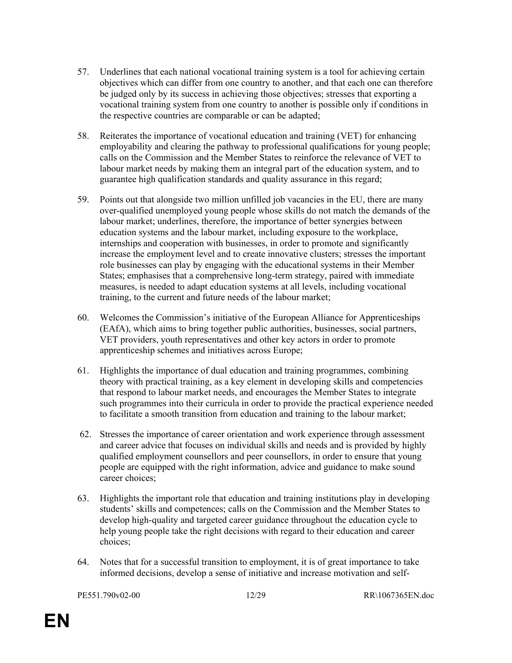- 57. Underlines that each national vocational training system is a tool for achieving certain objectives which can differ from one country to another, and that each one can therefore be judged only by its success in achieving those objectives; stresses that exporting a vocational training system from one country to another is possible only if conditions in the respective countries are comparable or can be adapted;
- 58. Reiterates the importance of vocational education and training (VET) for enhancing employability and clearing the pathway to professional qualifications for young people; calls on the Commission and the Member States to reinforce the relevance of VET to labour market needs by making them an integral part of the education system, and to guarantee high qualification standards and quality assurance in this regard;
- 59. Points out that alongside two million unfilled job vacancies in the EU, there are many over-qualified unemployed young people whose skills do not match the demands of the labour market; underlines, therefore, the importance of better synergies between education systems and the labour market, including exposure to the workplace, internships and cooperation with businesses, in order to promote and significantly increase the employment level and to create innovative clusters; stresses the important role businesses can play by engaging with the educational systems in their Member States; emphasises that a comprehensive long-term strategy, paired with immediate measures, is needed to adapt education systems at all levels, including vocational training, to the current and future needs of the labour market;
- 60. Welcomes the Commission's initiative of the European Alliance for Apprenticeships (EAfA), which aims to bring together public authorities, businesses, social partners, VET providers, youth representatives and other key actors in order to promote apprenticeship schemes and initiatives across Europe;
- 61. Highlights the importance of dual education and training programmes, combining theory with practical training, as a key element in developing skills and competencies that respond to labour market needs, and encourages the Member States to integrate such programmes into their curricula in order to provide the practical experience needed to facilitate a smooth transition from education and training to the labour market;
- 62. Stresses the importance of career orientation and work experience through assessment and career advice that focuses on individual skills and needs and is provided by highly qualified employment counsellors and peer counsellors, in order to ensure that young people are equipped with the right information, advice and guidance to make sound career choices;
- 63. Highlights the important role that education and training institutions play in developing students' skills and competences; calls on the Commission and the Member States to develop high-quality and targeted career guidance throughout the education cycle to help young people take the right decisions with regard to their education and career choices;
- 64. Notes that for a successful transition to employment, it is of great importance to take informed decisions, develop a sense of initiative and increase motivation and self-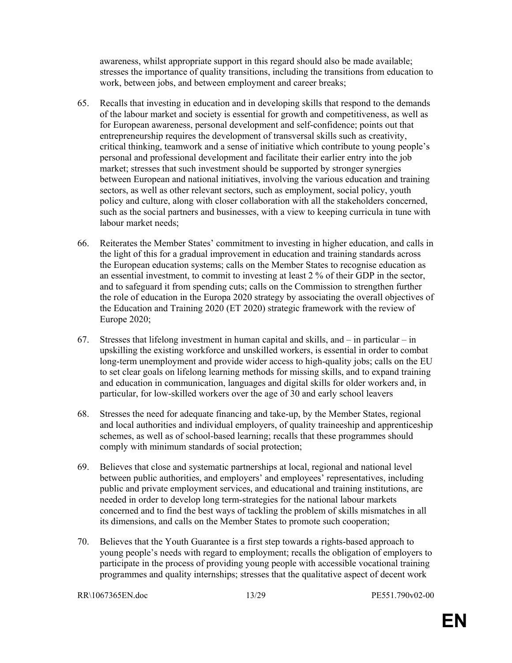awareness, whilst appropriate support in this regard should also be made available; stresses the importance of quality transitions, including the transitions from education to work, between jobs, and between employment and career breaks;

- 65. Recalls that investing in education and in developing skills that respond to the demands of the labour market and society is essential for growth and competitiveness, as well as for European awareness, personal development and self-confidence; points out that entrepreneurship requires the development of transversal skills such as creativity, critical thinking, teamwork and a sense of initiative which contribute to young people's personal and professional development and facilitate their earlier entry into the job market; stresses that such investment should be supported by stronger synergies between European and national initiatives, involving the various education and training sectors, as well as other relevant sectors, such as employment, social policy, youth policy and culture, along with closer collaboration with all the stakeholders concerned, such as the social partners and businesses, with a view to keeping curricula in tune with labour market needs;
- 66. Reiterates the Member States' commitment to investing in higher education, and calls in the light of this for a gradual improvement in education and training standards across the European education systems; calls on the Member States to recognise education as an essential investment, to commit to investing at least 2 % of their GDP in the sector, and to safeguard it from spending cuts; calls on the Commission to strengthen further the role of education in the Europa 2020 strategy by associating the overall objectives of the Education and Training 2020 (ET 2020) strategic framework with the review of Europe 2020;
- 67. Stresses that lifelong investment in human capital and skills, and  $-$  in particular  $-$  in upskilling the existing workforce and unskilled workers, is essential in order to combat long-term unemployment and provide wider access to high-quality jobs; calls on the EU to set clear goals on lifelong learning methods for missing skills, and to expand training and education in communication, languages and digital skills for older workers and, in particular, for low-skilled workers over the age of 30 and early school leavers
- 68. Stresses the need for adequate financing and take-up, by the Member States, regional and local authorities and individual employers, of quality traineeship and apprenticeship schemes, as well as of school-based learning; recalls that these programmes should comply with minimum standards of social protection;
- 69. Believes that close and systematic partnerships at local, regional and national level between public authorities, and employers' and employees' representatives, including public and private employment services, and educational and training institutions, are needed in order to develop long term-strategies for the national labour markets concerned and to find the best ways of tackling the problem of skills mismatches in all its dimensions, and calls on the Member States to promote such cooperation;
- 70. Believes that the Youth Guarantee is a first step towards a rights-based approach to young people's needs with regard to employment; recalls the obligation of employers to participate in the process of providing young people with accessible vocational training programmes and quality internships; stresses that the qualitative aspect of decent work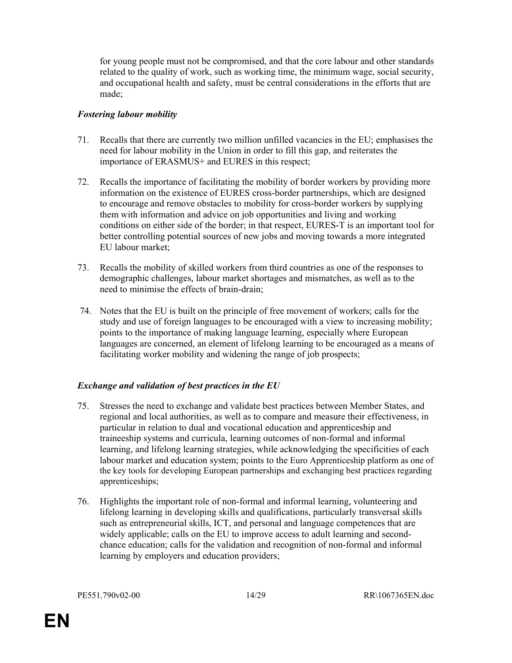for young people must not be compromised, and that the core labour and other standards related to the quality of work, such as working time, the minimum wage, social security, and occupational health and safety, must be central considerations in the efforts that are made;

#### Fostering labour mobility

- 71. Recalls that there are currently two million unfilled vacancies in the EU; emphasises the need for labour mobility in the Union in order to fill this gap, and reiterates the importance of ERASMUS+ and EURES in this respect;
- 72. Recalls the importance of facilitating the mobility of border workers by providing more information on the existence of EURES cross-border partnerships, which are designed to encourage and remove obstacles to mobility for cross-border workers by supplying them with information and advice on job opportunities and living and working conditions on either side of the border; in that respect, EURES-T is an important tool for better controlling potential sources of new jobs and moving towards a more integrated EU labour market;
- 73. Recalls the mobility of skilled workers from third countries as one of the responses to demographic challenges, labour market shortages and mismatches, as well as to the need to minimise the effects of brain-drain;
- 74. Notes that the EU is built on the principle of free movement of workers; calls for the study and use of foreign languages to be encouraged with a view to increasing mobility; points to the importance of making language learning, especially where European languages are concerned, an element of lifelong learning to be encouraged as a means of facilitating worker mobility and widening the range of job prospects;

#### Exchange and validation of best practices in the EU

- 75. Stresses the need to exchange and validate best practices between Member States, and regional and local authorities, as well as to compare and measure their effectiveness, in particular in relation to dual and vocational education and apprenticeship and traineeship systems and curricula, learning outcomes of non-formal and informal learning, and lifelong learning strategies, while acknowledging the specificities of each labour market and education system; points to the Euro Apprenticeship platform as one of the key tools for developing European partnerships and exchanging best practices regarding apprenticeships;
- 76. Highlights the important role of non-formal and informal learning, volunteering and lifelong learning in developing skills and qualifications, particularly transversal skills such as entrepreneurial skills, ICT, and personal and language competences that are widely applicable; calls on the EU to improve access to adult learning and secondchance education; calls for the validation and recognition of non-formal and informal learning by employers and education providers;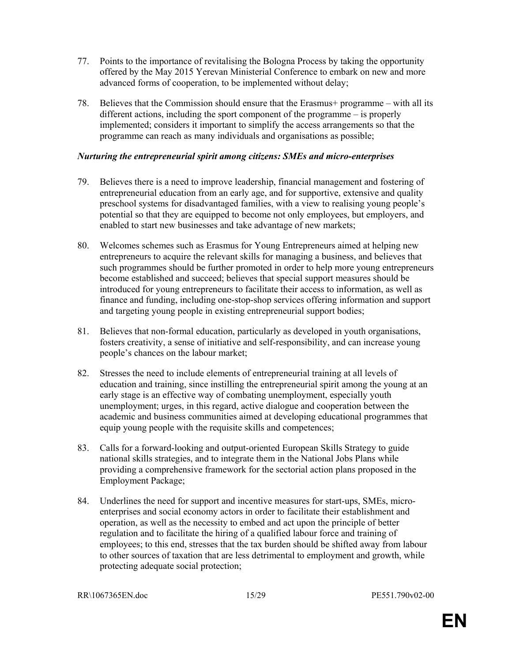- 77. Points to the importance of revitalising the Bologna Process by taking the opportunity offered by the May 2015 Yerevan Ministerial Conference to embark on new and more advanced forms of cooperation, to be implemented without delay;
- 78. Believes that the Commission should ensure that the Erasmus+ programme with all its different actions, including the sport component of the programme – is properly implemented; considers it important to simplify the access arrangements so that the programme can reach as many individuals and organisations as possible;

#### Nurturing the entrepreneurial spirit among citizens: SMEs and micro-enterprises

- 79. Believes there is a need to improve leadership, financial management and fostering of entrepreneurial education from an early age, and for supportive, extensive and quality preschool systems for disadvantaged families, with a view to realising young people's potential so that they are equipped to become not only employees, but employers, and enabled to start new businesses and take advantage of new markets;
- 80. Welcomes schemes such as Erasmus for Young Entrepreneurs aimed at helping new entrepreneurs to acquire the relevant skills for managing a business, and believes that such programmes should be further promoted in order to help more young entrepreneurs become established and succeed; believes that special support measures should be introduced for young entrepreneurs to facilitate their access to information, as well as finance and funding, including one-stop-shop services offering information and support and targeting young people in existing entrepreneurial support bodies;
- 81. Believes that non-formal education, particularly as developed in youth organisations, fosters creativity, a sense of initiative and self-responsibility, and can increase young people's chances on the labour market;
- 82. Stresses the need to include elements of entrepreneurial training at all levels of education and training, since instilling the entrepreneurial spirit among the young at an early stage is an effective way of combating unemployment, especially youth unemployment; urges, in this regard, active dialogue and cooperation between the academic and business communities aimed at developing educational programmes that equip young people with the requisite skills and competences;
- 83. Calls for a forward-looking and output-oriented European Skills Strategy to guide national skills strategies, and to integrate them in the National Jobs Plans while providing a comprehensive framework for the sectorial action plans proposed in the Employment Package;
- 84. Underlines the need for support and incentive measures for start-ups, SMEs, microenterprises and social economy actors in order to facilitate their establishment and operation, as well as the necessity to embed and act upon the principle of better regulation and to facilitate the hiring of a qualified labour force and training of employees; to this end, stresses that the tax burden should be shifted away from labour to other sources of taxation that are less detrimental to employment and growth, while protecting adequate social protection;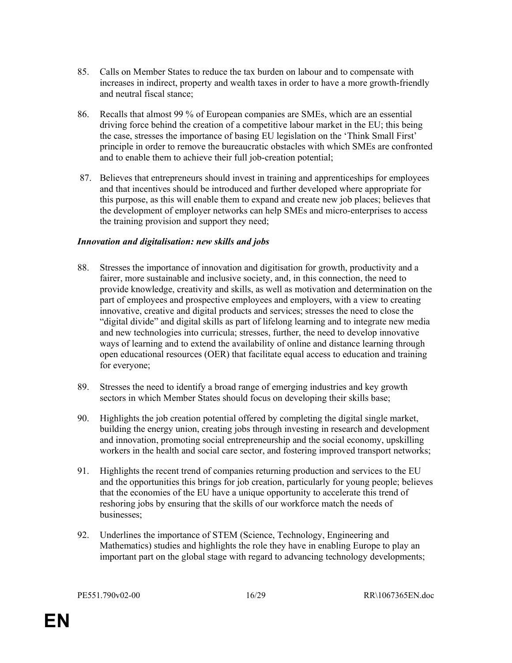- 85. Calls on Member States to reduce the tax burden on labour and to compensate with increases in indirect, property and wealth taxes in order to have a more growth-friendly and neutral fiscal stance;
- 86. Recalls that almost 99 % of European companies are SMEs, which are an essential driving force behind the creation of a competitive labour market in the EU; this being the case, stresses the importance of basing EU legislation on the 'Think Small First' principle in order to remove the bureaucratic obstacles with which SMEs are confronted and to enable them to achieve their full job-creation potential;
- 87. Believes that entrepreneurs should invest in training and apprenticeships for employees and that incentives should be introduced and further developed where appropriate for this purpose, as this will enable them to expand and create new job places; believes that the development of employer networks can help SMEs and micro-enterprises to access the training provision and support they need;

#### Innovation and digitalisation: new skills and jobs

- 88. Stresses the importance of innovation and digitisation for growth, productivity and a fairer, more sustainable and inclusive society, and, in this connection, the need to provide knowledge, creativity and skills, as well as motivation and determination on the part of employees and prospective employees and employers, with a view to creating innovative, creative and digital products and services; stresses the need to close the "digital divide" and digital skills as part of lifelong learning and to integrate new media and new technologies into curricula; stresses, further, the need to develop innovative ways of learning and to extend the availability of online and distance learning through open educational resources (OER) that facilitate equal access to education and training for everyone;
- 89. Stresses the need to identify a broad range of emerging industries and key growth sectors in which Member States should focus on developing their skills base;
- 90. Highlights the job creation potential offered by completing the digital single market, building the energy union, creating jobs through investing in research and development and innovation, promoting social entrepreneurship and the social economy, upskilling workers in the health and social care sector, and fostering improved transport networks;
- 91. Highlights the recent trend of companies returning production and services to the EU and the opportunities this brings for job creation, particularly for young people; believes that the economies of the EU have a unique opportunity to accelerate this trend of reshoring jobs by ensuring that the skills of our workforce match the needs of businesses;
- 92. Underlines the importance of STEM (Science, Technology, Engineering and Mathematics) studies and highlights the role they have in enabling Europe to play an important part on the global stage with regard to advancing technology developments;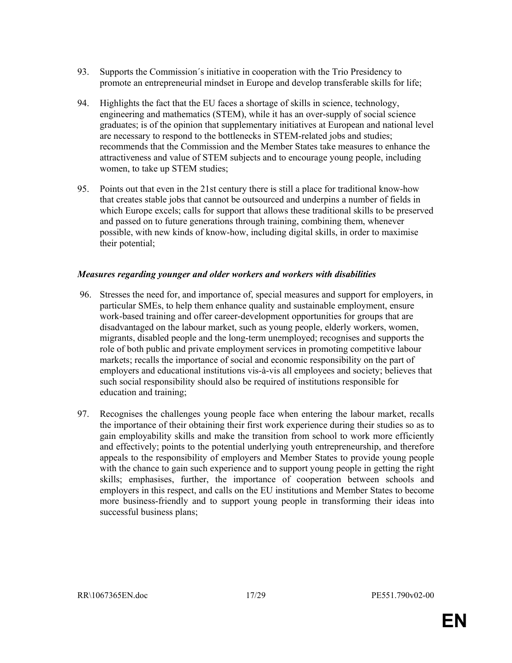- 93. Supports the Commission´s initiative in cooperation with the Trio Presidency to promote an entrepreneurial mindset in Europe and develop transferable skills for life;
- 94. Highlights the fact that the EU faces a shortage of skills in science, technology, engineering and mathematics (STEM), while it has an over-supply of social science graduates; is of the opinion that supplementary initiatives at European and national level are necessary to respond to the bottlenecks in STEM-related jobs and studies; recommends that the Commission and the Member States take measures to enhance the attractiveness and value of STEM subjects and to encourage young people, including women, to take up STEM studies;
- 95. Points out that even in the 21st century there is still a place for traditional know-how that creates stable jobs that cannot be outsourced and underpins a number of fields in which Europe excels; calls for support that allows these traditional skills to be preserved and passed on to future generations through training, combining them, whenever possible, with new kinds of know-how, including digital skills, in order to maximise their potential;

#### Measures regarding younger and older workers and workers with disabilities

- 96. Stresses the need for, and importance of, special measures and support for employers, in particular SMEs, to help them enhance quality and sustainable employment, ensure work-based training and offer career-development opportunities for groups that are disadvantaged on the labour market, such as young people, elderly workers, women, migrants, disabled people and the long-term unemployed; recognises and supports the role of both public and private employment services in promoting competitive labour markets; recalls the importance of social and economic responsibility on the part of employers and educational institutions vis-à-vis all employees and society; believes that such social responsibility should also be required of institutions responsible for education and training;
- 97. Recognises the challenges young people face when entering the labour market, recalls the importance of their obtaining their first work experience during their studies so as to gain employability skills and make the transition from school to work more efficiently and effectively; points to the potential underlying youth entrepreneurship, and therefore appeals to the responsibility of employers and Member States to provide young people with the chance to gain such experience and to support young people in getting the right skills; emphasises, further, the importance of cooperation between schools and employers in this respect, and calls on the EU institutions and Member States to become more business-friendly and to support young people in transforming their ideas into successful business plans;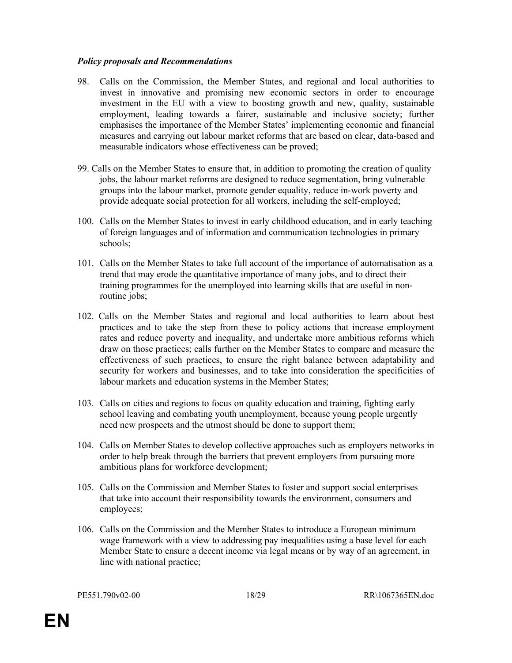#### Policy proposals and Recommendations

- 98. Calls on the Commission, the Member States, and regional and local authorities to invest in innovative and promising new economic sectors in order to encourage investment in the EU with a view to boosting growth and new, quality, sustainable employment, leading towards a fairer, sustainable and inclusive society; further emphasises the importance of the Member States' implementing economic and financial measures and carrying out labour market reforms that are based on clear, data-based and measurable indicators whose effectiveness can be proved;
- 99. Calls on the Member States to ensure that, in addition to promoting the creation of quality jobs, the labour market reforms are designed to reduce segmentation, bring vulnerable groups into the labour market, promote gender equality, reduce in-work poverty and provide adequate social protection for all workers, including the self-employed;
- 100. Calls on the Member States to invest in early childhood education, and in early teaching of foreign languages and of information and communication technologies in primary schools;
- 101. Calls on the Member States to take full account of the importance of automatisation as a trend that may erode the quantitative importance of many jobs, and to direct their training programmes for the unemployed into learning skills that are useful in nonroutine jobs;
- 102. Calls on the Member States and regional and local authorities to learn about best practices and to take the step from these to policy actions that increase employment rates and reduce poverty and inequality, and undertake more ambitious reforms which draw on those practices; calls further on the Member States to compare and measure the effectiveness of such practices, to ensure the right balance between adaptability and security for workers and businesses, and to take into consideration the specificities of labour markets and education systems in the Member States;
- 103. Calls on cities and regions to focus on quality education and training, fighting early school leaving and combating youth unemployment, because young people urgently need new prospects and the utmost should be done to support them;
- 104. Calls on Member States to develop collective approaches such as employers networks in order to help break through the barriers that prevent employers from pursuing more ambitious plans for workforce development;
- 105. Calls on the Commission and Member States to foster and support social enterprises that take into account their responsibility towards the environment, consumers and employees;
- 106. Calls on the Commission and the Member States to introduce a European minimum wage framework with a view to addressing pay inequalities using a base level for each Member State to ensure a decent income via legal means or by way of an agreement, in line with national practice;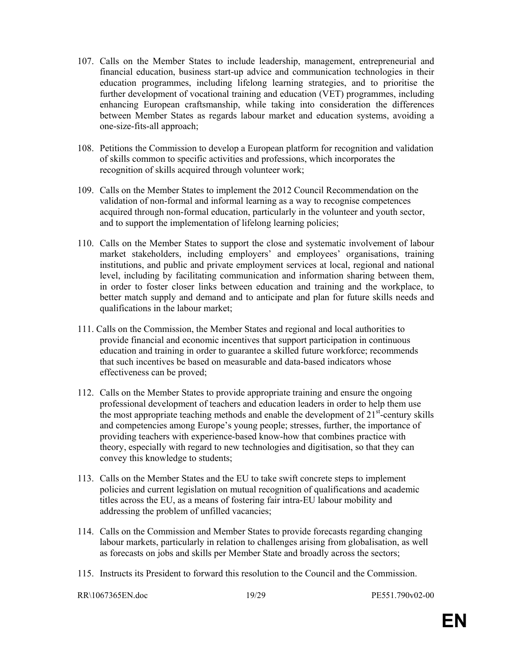- 107. Calls on the Member States to include leadership, management, entrepreneurial and financial education, business start-up advice and communication technologies in their education programmes, including lifelong learning strategies, and to prioritise the further development of vocational training and education (VET) programmes, including enhancing European craftsmanship, while taking into consideration the differences between Member States as regards labour market and education systems, avoiding a one-size-fits-all approach;
- 108. Petitions the Commission to develop a European platform for recognition and validation of skills common to specific activities and professions, which incorporates the recognition of skills acquired through volunteer work;
- 109. Calls on the Member States to implement the 2012 Council Recommendation on the validation of non-formal and informal learning as a way to recognise competences acquired through non-formal education, particularly in the volunteer and youth sector, and to support the implementation of lifelong learning policies;
- 110. Calls on the Member States to support the close and systematic involvement of labour market stakeholders, including employers' and employees' organisations, training institutions, and public and private employment services at local, regional and national level, including by facilitating communication and information sharing between them, in order to foster closer links between education and training and the workplace, to better match supply and demand and to anticipate and plan for future skills needs and qualifications in the labour market;
- 111. Calls on the Commission, the Member States and regional and local authorities to provide financial and economic incentives that support participation in continuous education and training in order to guarantee a skilled future workforce; recommends that such incentives be based on measurable and data-based indicators whose effectiveness can be proved;
- 112. Calls on the Member States to provide appropriate training and ensure the ongoing professional development of teachers and education leaders in order to help them use the most appropriate teaching methods and enable the development of  $21<sup>st</sup>$ -century skills and competencies among Europe's young people; stresses, further, the importance of providing teachers with experience-based know-how that combines practice with theory, especially with regard to new technologies and digitisation, so that they can convey this knowledge to students;
- 113. Calls on the Member States and the EU to take swift concrete steps to implement policies and current legislation on mutual recognition of qualifications and academic titles across the EU, as a means of fostering fair intra-EU labour mobility and addressing the problem of unfilled vacancies;
- 114. Calls on the Commission and Member States to provide forecasts regarding changing labour markets, particularly in relation to challenges arising from globalisation, as well as forecasts on jobs and skills per Member State and broadly across the sectors;
- 115. Instructs its President to forward this resolution to the Council and the Commission.

RR\1067365EN.doc 19/29 PE551.790v02-00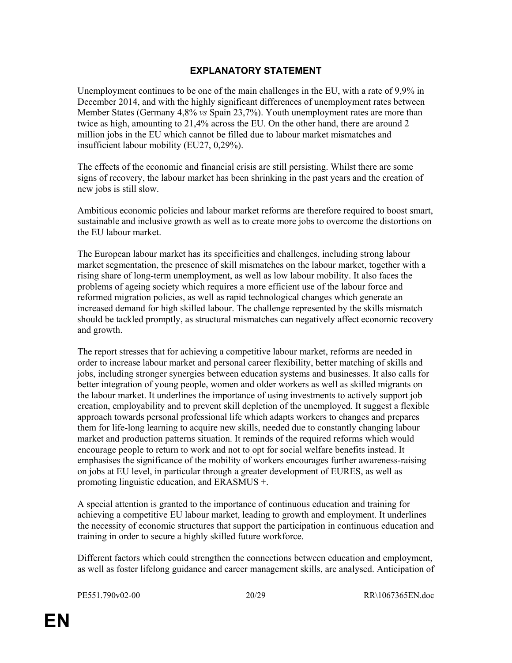### EXPLANATORY STATEMENT

Unemployment continues to be one of the main challenges in the EU, with a rate of 9,9% in December 2014, and with the highly significant differences of unemployment rates between Member States (Germany 4,8% vs Spain 23,7%). Youth unemployment rates are more than twice as high, amounting to 21,4% across the EU. On the other hand, there are around 2 million jobs in the EU which cannot be filled due to labour market mismatches and insufficient labour mobility (EU27, 0,29%).

The effects of the economic and financial crisis are still persisting. Whilst there are some signs of recovery, the labour market has been shrinking in the past years and the creation of new jobs is still slow.

Ambitious economic policies and labour market reforms are therefore required to boost smart, sustainable and inclusive growth as well as to create more jobs to overcome the distortions on the EU labour market.

The European labour market has its specificities and challenges, including strong labour market segmentation, the presence of skill mismatches on the labour market, together with a rising share of long-term unemployment, as well as low labour mobility. It also faces the problems of ageing society which requires a more efficient use of the labour force and reformed migration policies, as well as rapid technological changes which generate an increased demand for high skilled labour. The challenge represented by the skills mismatch should be tackled promptly, as structural mismatches can negatively affect economic recovery and growth.

The report stresses that for achieving a competitive labour market, reforms are needed in order to increase labour market and personal career flexibility, better matching of skills and jobs, including stronger synergies between education systems and businesses. It also calls for better integration of young people, women and older workers as well as skilled migrants on the labour market. It underlines the importance of using investments to actively support job creation, employability and to prevent skill depletion of the unemployed. It suggest a flexible approach towards personal professional life which adapts workers to changes and prepares them for life-long learning to acquire new skills, needed due to constantly changing labour market and production patterns situation. It reminds of the required reforms which would encourage people to return to work and not to opt for social welfare benefits instead. It emphasises the significance of the mobility of workers encourages further awareness-raising on jobs at EU level, in particular through a greater development of EURES, as well as promoting linguistic education, and ERASMUS +.

A special attention is granted to the importance of continuous education and training for achieving a competitive EU labour market, leading to growth and employment. It underlines the necessity of economic structures that support the participation in continuous education and training in order to secure a highly skilled future workforce.

Different factors which could strengthen the connections between education and employment, as well as foster lifelong guidance and career management skills, are analysed. Anticipation of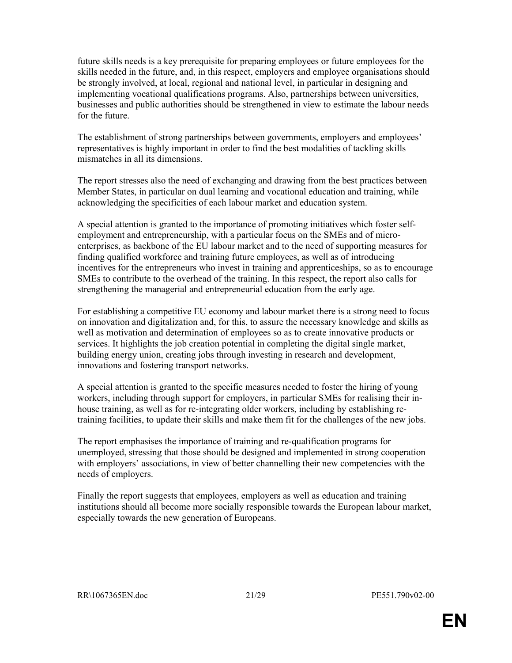future skills needs is a key prerequisite for preparing employees or future employees for the skills needed in the future, and, in this respect, employers and employee organisations should be strongly involved, at local, regional and national level, in particular in designing and implementing vocational qualifications programs. Also, partnerships between universities, businesses and public authorities should be strengthened in view to estimate the labour needs for the future.

The establishment of strong partnerships between governments, employers and employees' representatives is highly important in order to find the best modalities of tackling skills mismatches in all its dimensions.

The report stresses also the need of exchanging and drawing from the best practices between Member States, in particular on dual learning and vocational education and training, while acknowledging the specificities of each labour market and education system.

A special attention is granted to the importance of promoting initiatives which foster selfemployment and entrepreneurship, with a particular focus on the SMEs and of microenterprises, as backbone of the EU labour market and to the need of supporting measures for finding qualified workforce and training future employees, as well as of introducing incentives for the entrepreneurs who invest in training and apprenticeships, so as to encourage SMEs to contribute to the overhead of the training. In this respect, the report also calls for strengthening the managerial and entrepreneurial education from the early age.

For establishing a competitive EU economy and labour market there is a strong need to focus on innovation and digitalization and, for this, to assure the necessary knowledge and skills as well as motivation and determination of employees so as to create innovative products or services. It highlights the job creation potential in completing the digital single market, building energy union, creating jobs through investing in research and development, innovations and fostering transport networks.

A special attention is granted to the specific measures needed to foster the hiring of young workers, including through support for employers, in particular SMEs for realising their inhouse training, as well as for re-integrating older workers, including by establishing retraining facilities, to update their skills and make them fit for the challenges of the new jobs.

The report emphasises the importance of training and re-qualification programs for unemployed, stressing that those should be designed and implemented in strong cooperation with employers' associations, in view of better channelling their new competencies with the needs of employers.

Finally the report suggests that employees, employers as well as education and training institutions should all become more socially responsible towards the European labour market, especially towards the new generation of Europeans.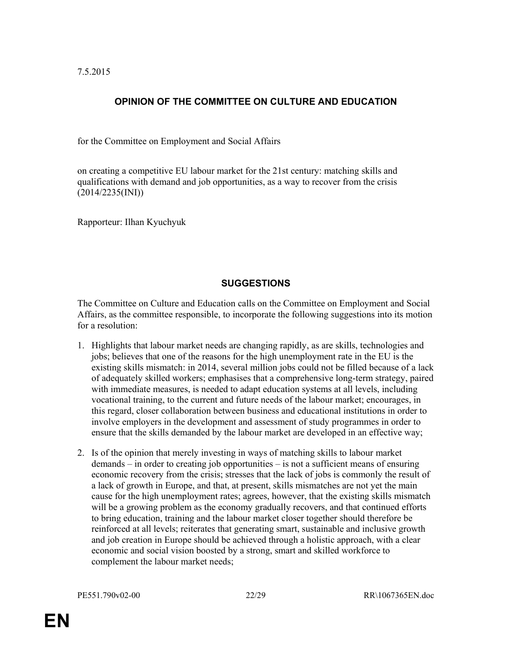7.5.2015

# OPINION OF THE COMMITTEE ON CULTURE AND EDUCATION

for the Committee on Employment and Social Affairs

on creating a competitive EU labour market for the 21st century: matching skills and qualifications with demand and job opportunities, as a way to recover from the crisis (2014/2235(INI))

Rapporteur: Ilhan Kyuchyuk

#### **SUGGESTIONS**

The Committee on Culture and Education calls on the Committee on Employment and Social Affairs, as the committee responsible, to incorporate the following suggestions into its motion for a resolution:

- 1. Highlights that labour market needs are changing rapidly, as are skills, technologies and jobs; believes that one of the reasons for the high unemployment rate in the EU is the existing skills mismatch: in 2014, several million jobs could not be filled because of a lack of adequately skilled workers; emphasises that a comprehensive long-term strategy, paired with immediate measures, is needed to adapt education systems at all levels, including vocational training, to the current and future needs of the labour market; encourages, in this regard, closer collaboration between business and educational institutions in order to involve employers in the development and assessment of study programmes in order to ensure that the skills demanded by the labour market are developed in an effective way;
- 2. Is of the opinion that merely investing in ways of matching skills to labour market demands – in order to creating job opportunities – is not a sufficient means of ensuring economic recovery from the crisis; stresses that the lack of jobs is commonly the result of a lack of growth in Europe, and that, at present, skills mismatches are not yet the main cause for the high unemployment rates; agrees, however, that the existing skills mismatch will be a growing problem as the economy gradually recovers, and that continued efforts to bring education, training and the labour market closer together should therefore be reinforced at all levels; reiterates that generating smart, sustainable and inclusive growth and job creation in Europe should be achieved through a holistic approach, with a clear economic and social vision boosted by a strong, smart and skilled workforce to complement the labour market needs;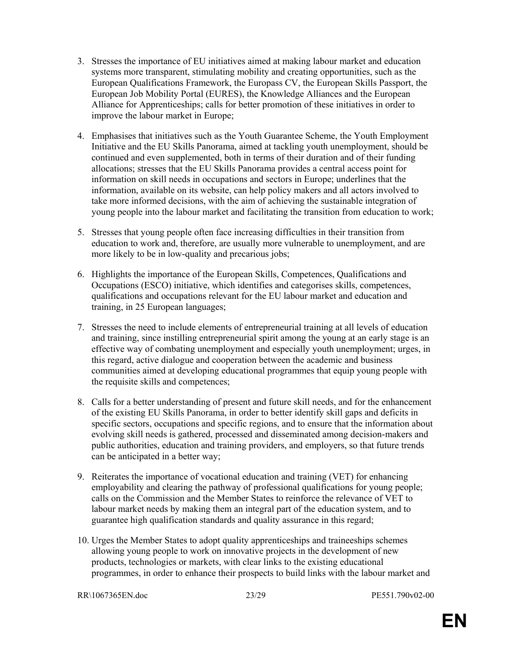- 3. Stresses the importance of EU initiatives aimed at making labour market and education systems more transparent, stimulating mobility and creating opportunities, such as the European Qualifications Framework, the Europass CV, the European Skills Passport, the European Job Mobility Portal (EURES), the Knowledge Alliances and the European Alliance for Apprenticeships; calls for better promotion of these initiatives in order to improve the labour market in Europe;
- 4. Emphasises that initiatives such as the Youth Guarantee Scheme, the Youth Employment Initiative and the EU Skills Panorama, aimed at tackling youth unemployment, should be continued and even supplemented, both in terms of their duration and of their funding allocations; stresses that the EU Skills Panorama provides a central access point for information on skill needs in occupations and sectors in Europe; underlines that the information, available on its website, can help policy makers and all actors involved to take more informed decisions, with the aim of achieving the sustainable integration of young people into the labour market and facilitating the transition from education to work;
- 5. Stresses that young people often face increasing difficulties in their transition from education to work and, therefore, are usually more vulnerable to unemployment, and are more likely to be in low-quality and precarious jobs;
- 6. Highlights the importance of the European Skills, Competences, Qualifications and Occupations (ESCO) initiative, which identifies and categorises skills, competences, qualifications and occupations relevant for the EU labour market and education and training, in 25 European languages;
- 7. Stresses the need to include elements of entrepreneurial training at all levels of education and training, since instilling entrepreneurial spirit among the young at an early stage is an effective way of combating unemployment and especially youth unemployment; urges, in this regard, active dialogue and cooperation between the academic and business communities aimed at developing educational programmes that equip young people with the requisite skills and competences;
- 8. Calls for a better understanding of present and future skill needs, and for the enhancement of the existing EU Skills Panorama, in order to better identify skill gaps and deficits in specific sectors, occupations and specific regions, and to ensure that the information about evolving skill needs is gathered, processed and disseminated among decision-makers and public authorities, education and training providers, and employers, so that future trends can be anticipated in a better way;
- 9. Reiterates the importance of vocational education and training (VET) for enhancing employability and clearing the pathway of professional qualifications for young people; calls on the Commission and the Member States to reinforce the relevance of VET to labour market needs by making them an integral part of the education system, and to guarantee high qualification standards and quality assurance in this regard;
- 10. Urges the Member States to adopt quality apprenticeships and traineeships schemes allowing young people to work on innovative projects in the development of new products, technologies or markets, with clear links to the existing educational programmes, in order to enhance their prospects to build links with the labour market and

```
RR\1067365EN.doc 23/29 PE551.790v02-00
```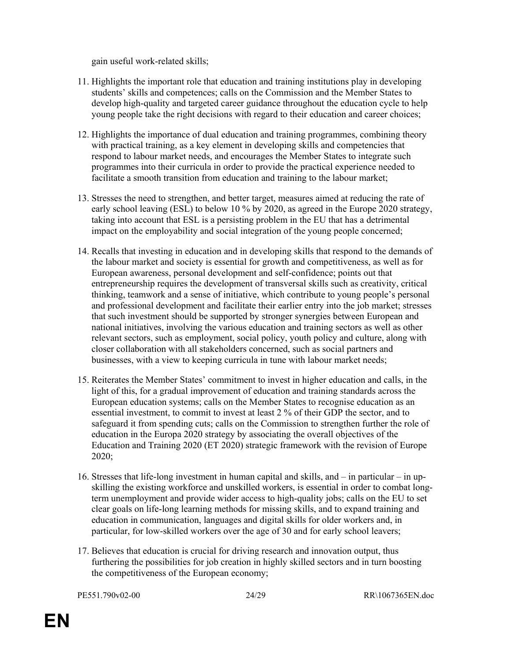gain useful work-related skills;

- 11. Highlights the important role that education and training institutions play in developing students' skills and competences; calls on the Commission and the Member States to develop high-quality and targeted career guidance throughout the education cycle to help young people take the right decisions with regard to their education and career choices;
- 12. Highlights the importance of dual education and training programmes, combining theory with practical training, as a key element in developing skills and competencies that respond to labour market needs, and encourages the Member States to integrate such programmes into their curricula in order to provide the practical experience needed to facilitate a smooth transition from education and training to the labour market;
- 13. Stresses the need to strengthen, and better target, measures aimed at reducing the rate of early school leaving (ESL) to below 10 % by 2020, as agreed in the Europe 2020 strategy, taking into account that ESL is a persisting problem in the EU that has a detrimental impact on the employability and social integration of the young people concerned;
- 14. Recalls that investing in education and in developing skills that respond to the demands of the labour market and society is essential for growth and competitiveness, as well as for European awareness, personal development and self-confidence; points out that entrepreneurship requires the development of transversal skills such as creativity, critical thinking, teamwork and a sense of initiative, which contribute to young people's personal and professional development and facilitate their earlier entry into the job market; stresses that such investment should be supported by stronger synergies between European and national initiatives, involving the various education and training sectors as well as other relevant sectors, such as employment, social policy, youth policy and culture, along with closer collaboration with all stakeholders concerned, such as social partners and businesses, with a view to keeping curricula in tune with labour market needs;
- 15. Reiterates the Member States' commitment to invest in higher education and calls, in the light of this, for a gradual improvement of education and training standards across the European education systems; calls on the Member States to recognise education as an essential investment, to commit to invest at least 2 % of their GDP the sector, and to safeguard it from spending cuts; calls on the Commission to strengthen further the role of education in the Europa 2020 strategy by associating the overall objectives of the Education and Training 2020 (ET 2020) strategic framework with the revision of Europe 2020;
- 16. Stresses that life-long investment in human capital and skills, and in particular in upskilling the existing workforce and unskilled workers, is essential in order to combat longterm unemployment and provide wider access to high-quality jobs; calls on the EU to set clear goals on life-long learning methods for missing skills, and to expand training and education in communication, languages and digital skills for older workers and, in particular, for low-skilled workers over the age of 30 and for early school leavers;
- 17. Believes that education is crucial for driving research and innovation output, thus furthering the possibilities for job creation in highly skilled sectors and in turn boosting the competitiveness of the European economy;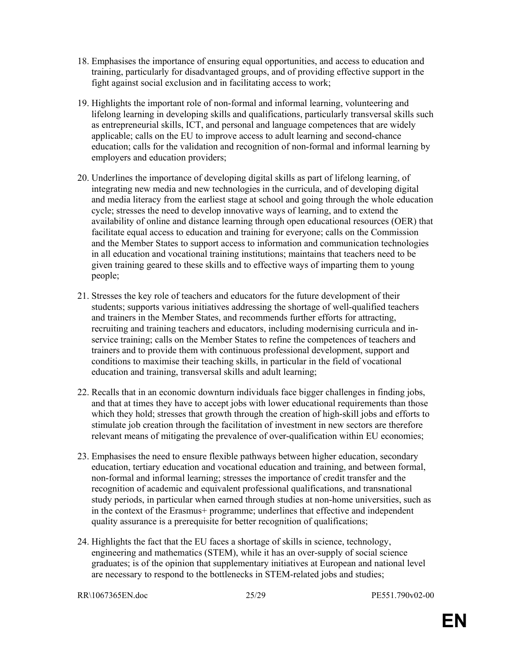- 18. Emphasises the importance of ensuring equal opportunities, and access to education and training, particularly for disadvantaged groups, and of providing effective support in the fight against social exclusion and in facilitating access to work;
- 19. Highlights the important role of non-formal and informal learning, volunteering and lifelong learning in developing skills and qualifications, particularly transversal skills such as entrepreneurial skills, ICT, and personal and language competences that are widely applicable; calls on the EU to improve access to adult learning and second-chance education; calls for the validation and recognition of non-formal and informal learning by employers and education providers;
- 20. Underlines the importance of developing digital skills as part of lifelong learning, of integrating new media and new technologies in the curricula, and of developing digital and media literacy from the earliest stage at school and going through the whole education cycle; stresses the need to develop innovative ways of learning, and to extend the availability of online and distance learning through open educational resources (OER) that facilitate equal access to education and training for everyone; calls on the Commission and the Member States to support access to information and communication technologies in all education and vocational training institutions; maintains that teachers need to be given training geared to these skills and to effective ways of imparting them to young people;
- 21. Stresses the key role of teachers and educators for the future development of their students; supports various initiatives addressing the shortage of well-qualified teachers and trainers in the Member States, and recommends further efforts for attracting, recruiting and training teachers and educators, including modernising curricula and inservice training; calls on the Member States to refine the competences of teachers and trainers and to provide them with continuous professional development, support and conditions to maximise their teaching skills, in particular in the field of vocational education and training, transversal skills and adult learning;
- 22. Recalls that in an economic downturn individuals face bigger challenges in finding jobs, and that at times they have to accept jobs with lower educational requirements than those which they hold; stresses that growth through the creation of high-skill jobs and efforts to stimulate job creation through the facilitation of investment in new sectors are therefore relevant means of mitigating the prevalence of over-qualification within EU economies;
- 23. Emphasises the need to ensure flexible pathways between higher education, secondary education, tertiary education and vocational education and training, and between formal, non-formal and informal learning; stresses the importance of credit transfer and the recognition of academic and equivalent professional qualifications, and transnational study periods, in particular when earned through studies at non-home universities, such as in the context of the Erasmus+ programme; underlines that effective and independent quality assurance is a prerequisite for better recognition of qualifications;
- 24. Highlights the fact that the EU faces a shortage of skills in science, technology, engineering and mathematics (STEM), while it has an over-supply of social science graduates; is of the opinion that supplementary initiatives at European and national level are necessary to respond to the bottlenecks in STEM-related jobs and studies;

```
RR\1067365EN.doc 25/29 PE551.790v02-00
```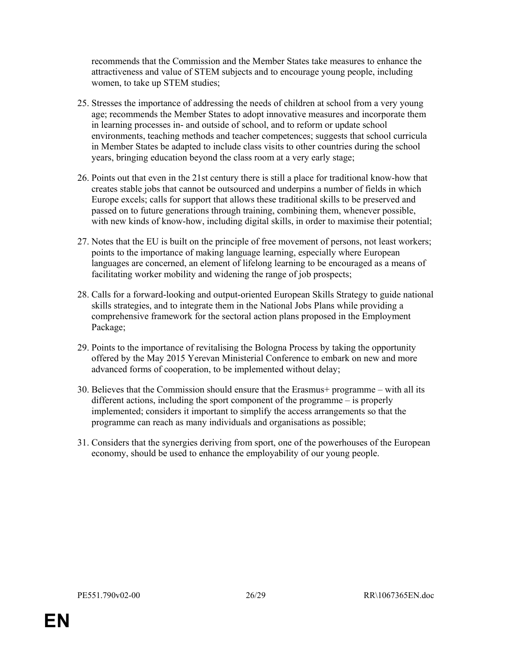recommends that the Commission and the Member States take measures to enhance the attractiveness and value of STEM subjects and to encourage young people, including women, to take up STEM studies;

- 25. Stresses the importance of addressing the needs of children at school from a very young age; recommends the Member States to adopt innovative measures and incorporate them in learning processes in- and outside of school, and to reform or update school environments, teaching methods and teacher competences; suggests that school curricula in Member States be adapted to include class visits to other countries during the school years, bringing education beyond the class room at a very early stage;
- 26. Points out that even in the 21st century there is still a place for traditional know-how that creates stable jobs that cannot be outsourced and underpins a number of fields in which Europe excels; calls for support that allows these traditional skills to be preserved and passed on to future generations through training, combining them, whenever possible, with new kinds of know-how, including digital skills, in order to maximise their potential;
- 27. Notes that the EU is built on the principle of free movement of persons, not least workers; points to the importance of making language learning, especially where European languages are concerned, an element of lifelong learning to be encouraged as a means of facilitating worker mobility and widening the range of job prospects;
- 28. Calls for a forward-looking and output-oriented European Skills Strategy to guide national skills strategies, and to integrate them in the National Jobs Plans while providing a comprehensive framework for the sectoral action plans proposed in the Employment Package;
- 29. Points to the importance of revitalising the Bologna Process by taking the opportunity offered by the May 2015 Yerevan Ministerial Conference to embark on new and more advanced forms of cooperation, to be implemented without delay;
- 30. Believes that the Commission should ensure that the Erasmus+ programme with all its different actions, including the sport component of the programme – is properly implemented; considers it important to simplify the access arrangements so that the programme can reach as many individuals and organisations as possible;
- 31. Considers that the synergies deriving from sport, one of the powerhouses of the European economy, should be used to enhance the employability of our young people.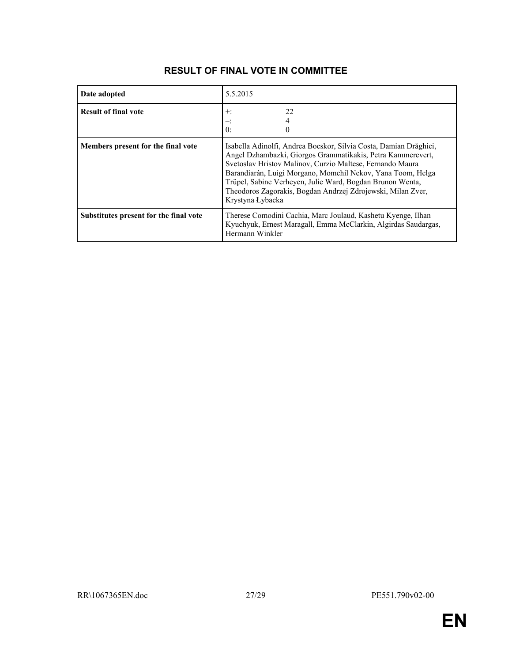| Date adopted                           | 5.5.2015                                                                                                                                                                                                                                                                                                                                                                                                     |
|----------------------------------------|--------------------------------------------------------------------------------------------------------------------------------------------------------------------------------------------------------------------------------------------------------------------------------------------------------------------------------------------------------------------------------------------------------------|
| <b>Result of final vote</b>            | 22<br>$+$ :<br>4<br>0:<br>$\Omega$                                                                                                                                                                                                                                                                                                                                                                           |
| Members present for the final vote     | Isabella Adinolfi, Andrea Bocskor, Silvia Costa, Damian Drăghici,<br>Angel Dzhambazki, Giorgos Grammatikakis, Petra Kammerevert,<br>Svetoslav Hristov Malinov, Curzio Maltese, Fernando Maura<br>Barandiarán, Luigi Morgano, Momchil Nekov, Yana Toom, Helga<br>Trüpel, Sabine Verheyen, Julie Ward, Bogdan Brunon Wenta,<br>Theodoros Zagorakis, Bogdan Andrzej Zdrojewski, Milan Zver,<br>Krystyna Łybacka |
| Substitutes present for the final vote | Therese Comodini Cachia, Marc Joulaud, Kashetu Kyenge, Ilhan<br>Kyuchyuk, Ernest Maragall, Emma McClarkin, Algirdas Saudargas,<br>Hermann Winkler                                                                                                                                                                                                                                                            |

# RESULT OF FINAL VOTE IN COMMITTEE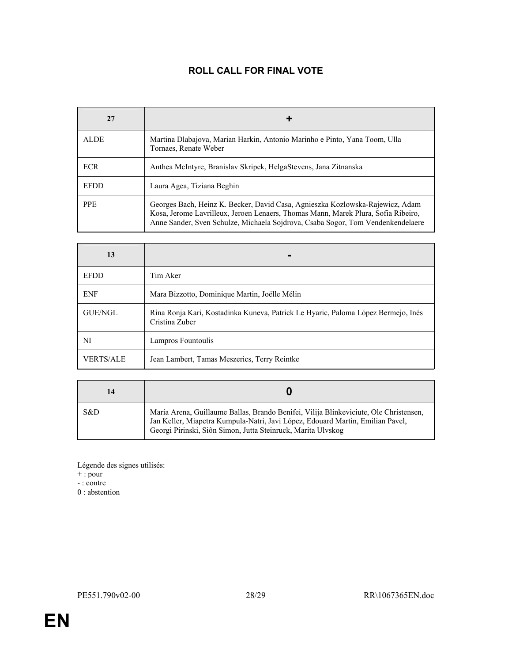# ROLL CALL FOR FINAL VOTE

| 27          |                                                                                                                                                                                                                                                       |  |
|-------------|-------------------------------------------------------------------------------------------------------------------------------------------------------------------------------------------------------------------------------------------------------|--|
| <b>ALDE</b> | Martina Dlabajova, Marian Harkin, Antonio Marinho e Pinto, Yana Toom, Ulla<br>Tornaes, Renate Weber                                                                                                                                                   |  |
| <b>ECR</b>  | Anthea McIntyre, Branislav Skripek, HelgaStevens, Jana Zitnanska                                                                                                                                                                                      |  |
| <b>EFDD</b> | Laura Agea, Tiziana Beghin                                                                                                                                                                                                                            |  |
| <b>PPE</b>  | Georges Bach, Heinz K. Becker, David Casa, Agnieszka Kozlowska-Rajewicz, Adam<br>Kosa, Jerome Lavrilleux, Jeroen Lenaers, Thomas Mann, Marek Plura, Sofia Ribeiro,<br>Anne Sander, Sven Schulze, Michaela Sojdrova, Csaba Sogor, Tom Vendenkendelaere |  |

| 13               |                                                                                                     |
|------------------|-----------------------------------------------------------------------------------------------------|
| <b>EFDD</b>      | Tim Aker                                                                                            |
| <b>ENF</b>       | Mara Bizzotto, Dominique Martin, Joëlle Mélin                                                       |
| GUE/NGL          | Rina Ronja Kari, Kostadinka Kuneva, Patrick Le Hyaric, Paloma López Bermejo, Inés<br>Cristina Zuber |
| NI               | Lampros Fountoulis                                                                                  |
| <b>VERTS/ALE</b> | Jean Lambert, Tamas Meszerics, Terry Reintke                                                        |

|     | U                                                                                                                                                                                                                                       |
|-----|-----------------------------------------------------------------------------------------------------------------------------------------------------------------------------------------------------------------------------------------|
| S&D | Maria Arena, Guillaume Ballas, Brando Benifei, Vilija Blinkeviciute, Ole Christensen,<br>Jan Keller, Miapetra Kumpula-Natri, Javi López, Edouard Martin, Emilian Pavel,<br>Georgi Pirinski, Siôn Simon, Jutta Steinruck, Marita Ulvskog |

Légende des signes utilisés:

- + : pour
- : contre

0 : abstention